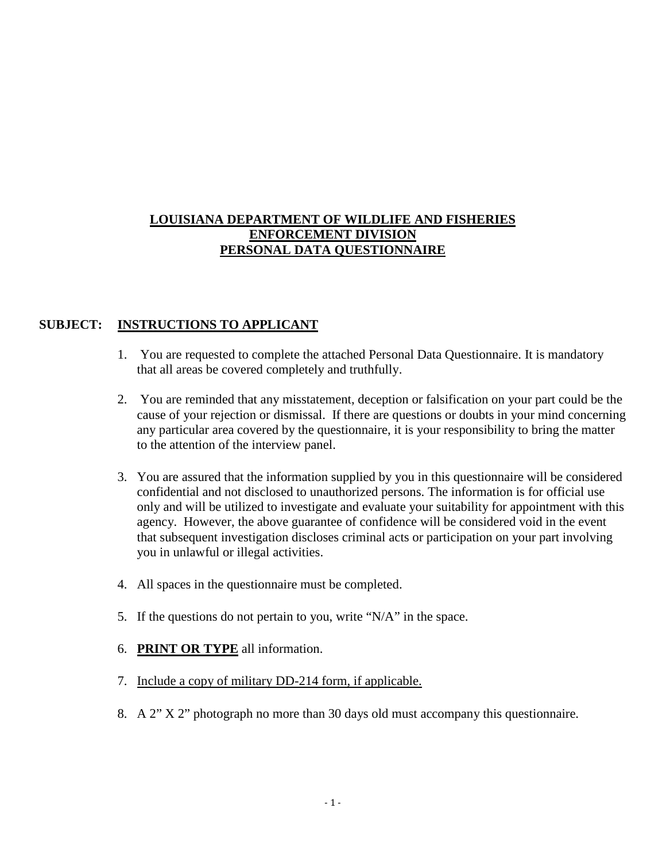### **LOUISIANA DEPARTMENT OF WILDLIFE AND FISHERIES ENFORCEMENT DIVISION PERSONAL DATA QUESTIONNAIRE**

### **SUBJECT: INSTRUCTIONS TO APPLICANT**

- 1. You are requested to complete the attached Personal Data Questionnaire. It is mandatory that all areas be covered completely and truthfully.
- 2. You are reminded that any misstatement, deception or falsification on your part could be the cause of your rejection or dismissal. If there are questions or doubts in your mind concerning any particular area covered by the questionnaire, it is your responsibility to bring the matter to the attention of the interview panel.
- 3. You are assured that the information supplied by you in this questionnaire will be considered confidential and not disclosed to unauthorized persons. The information is for official use only and will be utilized to investigate and evaluate your suitability for appointment with this agency. However, the above guarantee of confidence will be considered void in the event that subsequent investigation discloses criminal acts or participation on your part involving you in unlawful or illegal activities.
- 4. All spaces in the questionnaire must be completed.
- 5. If the questions do not pertain to you, write "N/A" in the space.
- 6. **PRINT OR TYPE** all information.
- 7. Include a copy of military DD-214 form, if applicable.
- 8. A 2" X 2" photograph no more than 30 days old must accompany this questionnaire.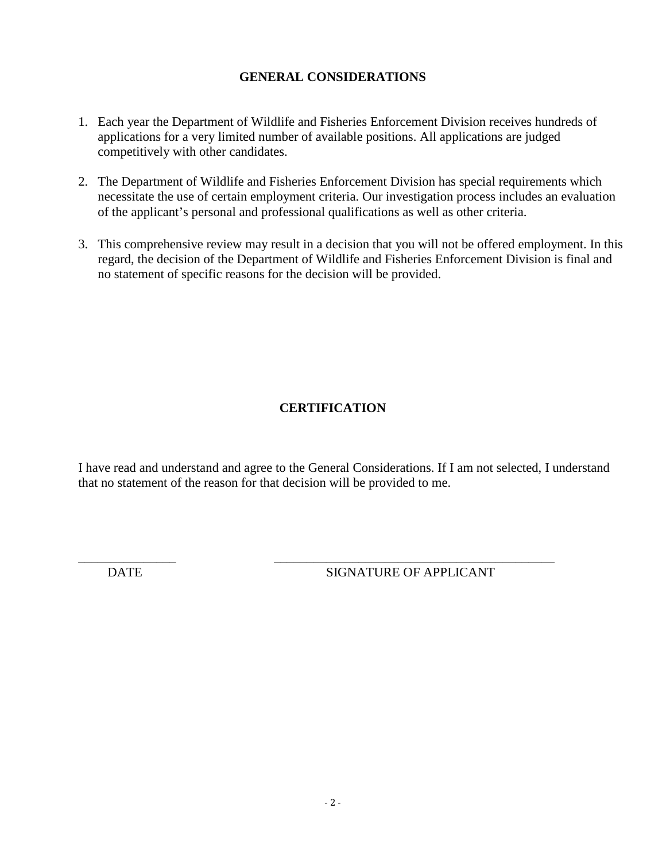### **GENERAL CONSIDERATIONS**

- 1. Each year the Department of Wildlife and Fisheries Enforcement Division receives hundreds of applications for a very limited number of available positions. All applications are judged competitively with other candidates.
- 2. The Department of Wildlife and Fisheries Enforcement Division has special requirements which necessitate the use of certain employment criteria. Our investigation process includes an evaluation of the applicant's personal and professional qualifications as well as other criteria.
- 3. This comprehensive review may result in a decision that you will not be offered employment. In this regard, the decision of the Department of Wildlife and Fisheries Enforcement Division is final and no statement of specific reasons for the decision will be provided.

# **CERTIFICATION**

I have read and understand and agree to the General Considerations. If I am not selected, I understand that no statement of the reason for that decision will be provided to me.

\_\_\_\_\_\_\_\_\_\_\_\_\_\_\_ \_\_\_\_\_\_\_\_\_\_\_\_\_\_\_\_\_\_\_\_\_\_\_\_\_\_\_\_\_\_\_\_\_\_\_\_\_\_\_\_\_\_\_

DATE SIGNATURE OF APPLICANT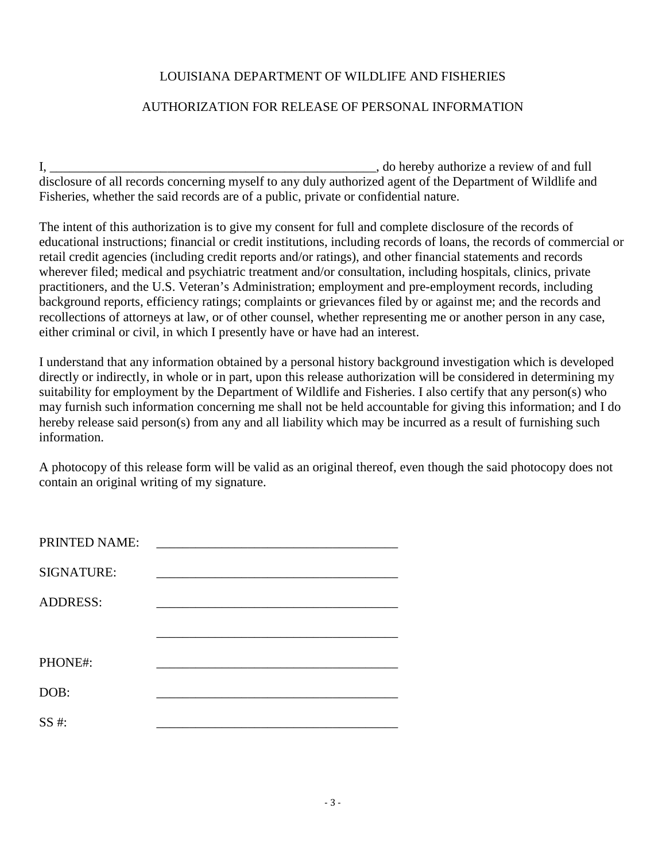### LOUISIANA DEPARTMENT OF WILDLIFE AND FISHERIES

#### AUTHORIZATION FOR RELEASE OF PERSONAL INFORMATION

I, \_\_\_\_\_\_\_\_\_\_\_\_\_\_\_\_\_\_\_\_\_\_\_\_\_\_\_\_\_\_\_\_\_\_\_\_\_\_\_\_\_\_\_\_\_\_\_\_\_\_, do hereby authorize a review of and full disclosure of all records concerning myself to any duly authorized agent of the Department of Wildlife and Fisheries, whether the said records are of a public, private or confidential nature.

The intent of this authorization is to give my consent for full and complete disclosure of the records of educational instructions; financial or credit institutions, including records of loans, the records of commercial or retail credit agencies (including credit reports and/or ratings), and other financial statements and records wherever filed; medical and psychiatric treatment and/or consultation, including hospitals, clinics, private practitioners, and the U.S. Veteran's Administration; employment and pre-employment records, including background reports, efficiency ratings; complaints or grievances filed by or against me; and the records and recollections of attorneys at law, or of other counsel, whether representing me or another person in any case, either criminal or civil, in which I presently have or have had an interest.

I understand that any information obtained by a personal history background investigation which is developed directly or indirectly, in whole or in part, upon this release authorization will be considered in determining my suitability for employment by the Department of Wildlife and Fisheries. I also certify that any person(s) who may furnish such information concerning me shall not be held accountable for giving this information; and I do hereby release said person(s) from any and all liability which may be incurred as a result of furnishing such information.

A photocopy of this release form will be valid as an original thereof, even though the said photocopy does not contain an original writing of my signature.

| PRINTED NAME:     |  |
|-------------------|--|
|                   |  |
| <b>SIGNATURE:</b> |  |
|                   |  |
| <b>ADDRESS:</b>   |  |
|                   |  |
|                   |  |
| PHONE#:           |  |
|                   |  |
| DOB:              |  |
|                   |  |
| $SS#$ :           |  |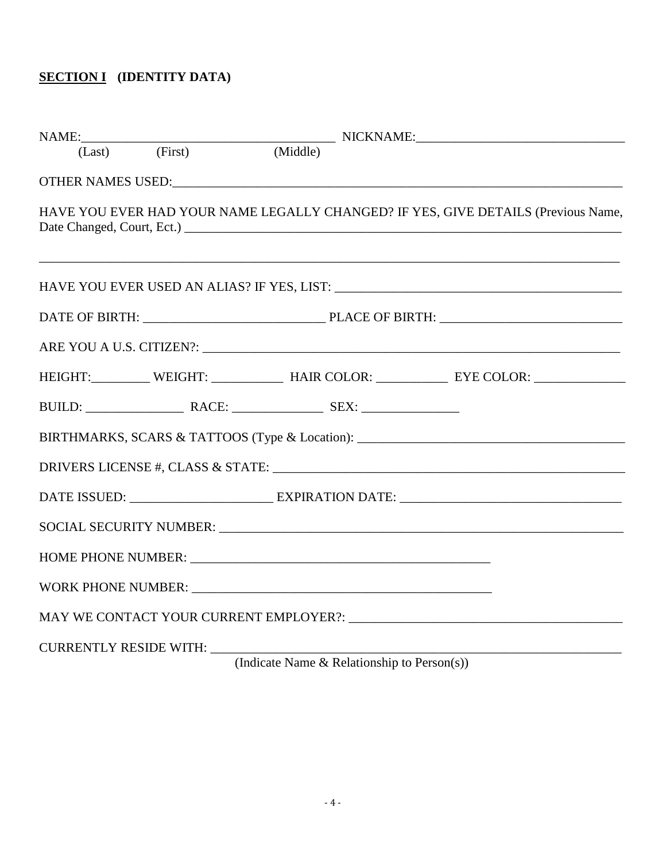# **SECTION I (IDENTITY DATA)**

|                        |                                                                                                                                                                                                                                | NAME:<br>(Last) (First) (Middle) NICKNAME:                                                                                                                                                  |
|------------------------|--------------------------------------------------------------------------------------------------------------------------------------------------------------------------------------------------------------------------------|---------------------------------------------------------------------------------------------------------------------------------------------------------------------------------------------|
|                        | OTHER NAMES USED: The Management of the Management of the Management of the Management of the Management of the Management of the Management of the Management of the Management of the Management of the Management of the Ma |                                                                                                                                                                                             |
|                        |                                                                                                                                                                                                                                | HAVE YOU EVER HAD YOUR NAME LEGALLY CHANGED? IF YES, GIVE DETAILS (Previous Name,                                                                                                           |
|                        |                                                                                                                                                                                                                                |                                                                                                                                                                                             |
|                        |                                                                                                                                                                                                                                |                                                                                                                                                                                             |
|                        |                                                                                                                                                                                                                                |                                                                                                                                                                                             |
|                        |                                                                                                                                                                                                                                | HEIGHT:___________ WEIGHT: _____________ HAIR COLOR: ___________ EYE COLOR: ________________________                                                                                        |
|                        |                                                                                                                                                                                                                                |                                                                                                                                                                                             |
|                        |                                                                                                                                                                                                                                | BIRTHMARKS, SCARS & TATTOOS (Type & Location): __________________________________                                                                                                           |
|                        |                                                                                                                                                                                                                                |                                                                                                                                                                                             |
|                        |                                                                                                                                                                                                                                |                                                                                                                                                                                             |
|                        |                                                                                                                                                                                                                                |                                                                                                                                                                                             |
|                        |                                                                                                                                                                                                                                |                                                                                                                                                                                             |
|                        | WORK PHONE NUMBER: University of the contract of the contract of the contract of the contract of the contract of the contract of the contract of the contract of the contract of the contract of the contract of the contract  |                                                                                                                                                                                             |
|                        |                                                                                                                                                                                                                                |                                                                                                                                                                                             |
| CURRENTLY RESIDE WITH: |                                                                                                                                                                                                                                | $\begin{pmatrix} 1 & 1 \\ 1 & 1 \end{pmatrix}$ $\begin{pmatrix} 1 & 1 \\ 1 & 1 \end{pmatrix}$ $\begin{pmatrix} 1 & 1 \\ 1 & 1 \end{pmatrix}$ $\begin{pmatrix} 1 & 1 \\ 1 & 1 \end{pmatrix}$ |

(Indicate Name & Relationship to Person(s))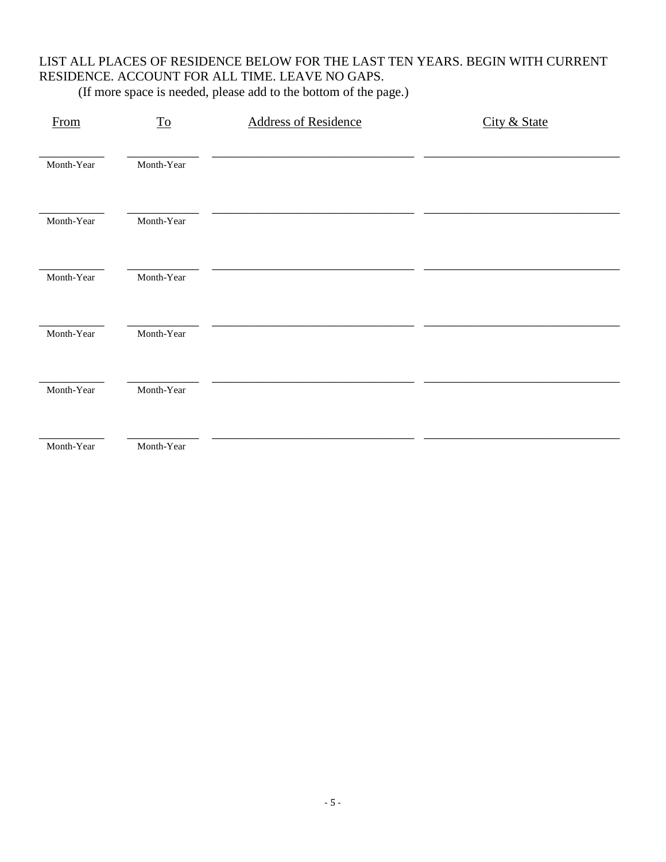# LIST ALL PLACES OF RESIDENCE BELOW FOR THE LAST TEN YEARS. BEGIN WITH CURRENT RESIDENCE. ACCOUNT FOR ALL TIME. LEAVE NO GAPS.

| From       | $\underline{\operatorname{To}}$ | <b>Address of Residence</b> | City & State |
|------------|---------------------------------|-----------------------------|--------------|
| Month-Year | Month-Year                      |                             |              |
| Month-Year | Month-Year                      |                             |              |
| Month-Year | Month-Year                      |                             |              |
| Month-Year | Month-Year                      |                             |              |
| Month-Year | Month-Year                      |                             |              |
| Month-Year | Month-Year                      |                             |              |

(If more space is needed, please add to the bottom of the page.)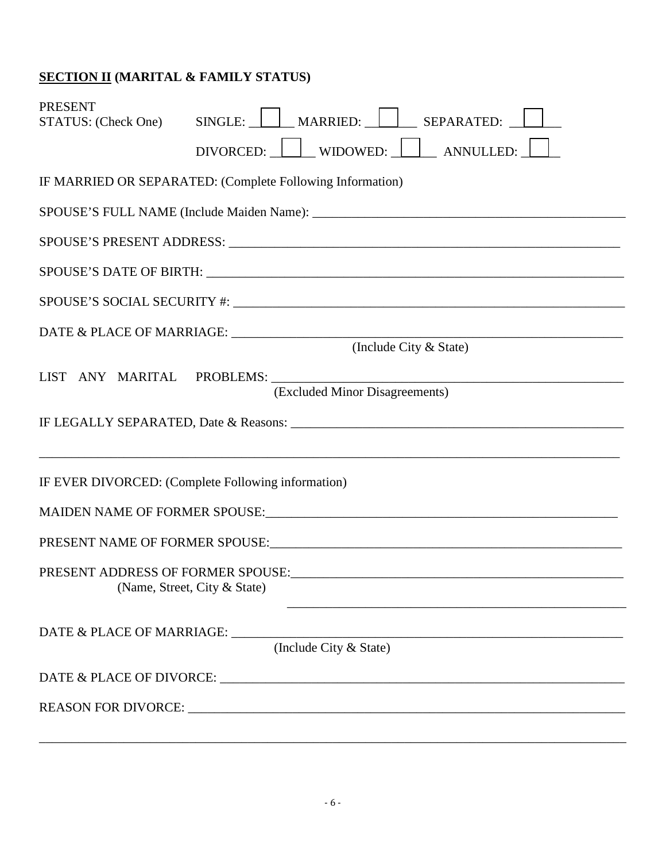# **SECTION II (MARITAL & FAMILY STATUS)**

| <b>PRESENT</b><br>STATUS: (Check One)              | SINGLE: MARRIED: SEPARATED:                                                                                                                                                                                                    |  |  |  |
|----------------------------------------------------|--------------------------------------------------------------------------------------------------------------------------------------------------------------------------------------------------------------------------------|--|--|--|
|                                                    | DIVORCED: WIDOWED: ANNULLED:                                                                                                                                                                                                   |  |  |  |
|                                                    | IF MARRIED OR SEPARATED: (Complete Following Information)                                                                                                                                                                      |  |  |  |
|                                                    |                                                                                                                                                                                                                                |  |  |  |
|                                                    |                                                                                                                                                                                                                                |  |  |  |
|                                                    |                                                                                                                                                                                                                                |  |  |  |
|                                                    |                                                                                                                                                                                                                                |  |  |  |
|                                                    | (Include City & State)                                                                                                                                                                                                         |  |  |  |
|                                                    |                                                                                                                                                                                                                                |  |  |  |
| LIST ANY MARITAL PROBLEMS: _______                 | <u> 1989 - Johann Harry Harry Harry Harry Harry Harry Harry Harry Harry Harry Harry Harry Harry Harry Harry Harry</u><br>(Excluded Minor Disagreements)                                                                        |  |  |  |
|                                                    |                                                                                                                                                                                                                                |  |  |  |
| IF EVER DIVORCED: (Complete Following information) |                                                                                                                                                                                                                                |  |  |  |
|                                                    |                                                                                                                                                                                                                                |  |  |  |
|                                                    | PRESENT NAME OF FORMER SPOUSE: NAME OF THE SPOUSE OF SPOUSE AND THE SPOUSE OF SPOUSE AND THE SPOUSE OF SPOUSE AND THE SPOUSE OF SPOUSE AND THE SPOUSE OF SPOUSE AND THE SPOUSE OF SPOUSE AND THE SPOUSE OF SPOUSE AND THE SPOU |  |  |  |
| (Name, Street, City & State)                       |                                                                                                                                                                                                                                |  |  |  |
| DATE & PLACE OF MARRIAGE: ______                   | (Include City & State)                                                                                                                                                                                                         |  |  |  |
|                                                    |                                                                                                                                                                                                                                |  |  |  |
|                                                    |                                                                                                                                                                                                                                |  |  |  |

\_\_\_\_\_\_\_\_\_\_\_\_\_\_\_\_\_\_\_\_\_\_\_\_\_\_\_\_\_\_\_\_\_\_\_\_\_\_\_\_\_\_\_\_\_\_\_\_\_\_\_\_\_\_\_\_\_\_\_\_\_\_\_\_\_\_\_\_\_\_\_\_\_\_\_\_\_\_\_\_\_\_\_\_\_\_\_\_\_\_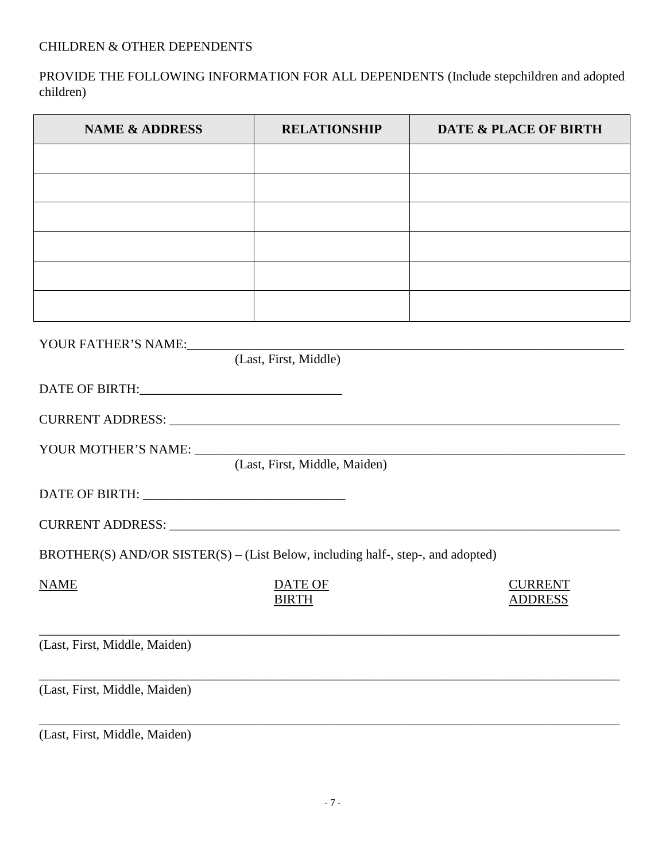PROVIDE THE FOLLOWING INFORMATION FOR ALL DEPENDENTS (Include stepchildren and adopted children)

| <b>NAME &amp; ADDRESS</b>                                                       | <b>RELATIONSHIP</b>           | DATE & PLACE OF BIRTH            |
|---------------------------------------------------------------------------------|-------------------------------|----------------------------------|
|                                                                                 |                               |                                  |
|                                                                                 |                               |                                  |
|                                                                                 |                               |                                  |
|                                                                                 |                               |                                  |
|                                                                                 |                               |                                  |
|                                                                                 |                               |                                  |
| YOUR FATHER'S NAME:                                                             | (Last, First, Middle)         |                                  |
|                                                                                 |                               |                                  |
|                                                                                 |                               |                                  |
|                                                                                 | (Last, First, Middle, Maiden) |                                  |
|                                                                                 |                               |                                  |
|                                                                                 |                               |                                  |
| BROTHER(S) AND/OR SISTER(S) – (List Below, including half-, step-, and adopted) |                               |                                  |
| <b>NAME</b>                                                                     | DATE OF<br><b>BIRTH</b>       | <b>CURRENT</b><br><b>ADDRESS</b> |
| (Last, First, Middle, Maiden)                                                   |                               |                                  |
| (Last, First, Middle, Maiden)                                                   |                               |                                  |
| (Last, First, Middle, Maiden)                                                   |                               |                                  |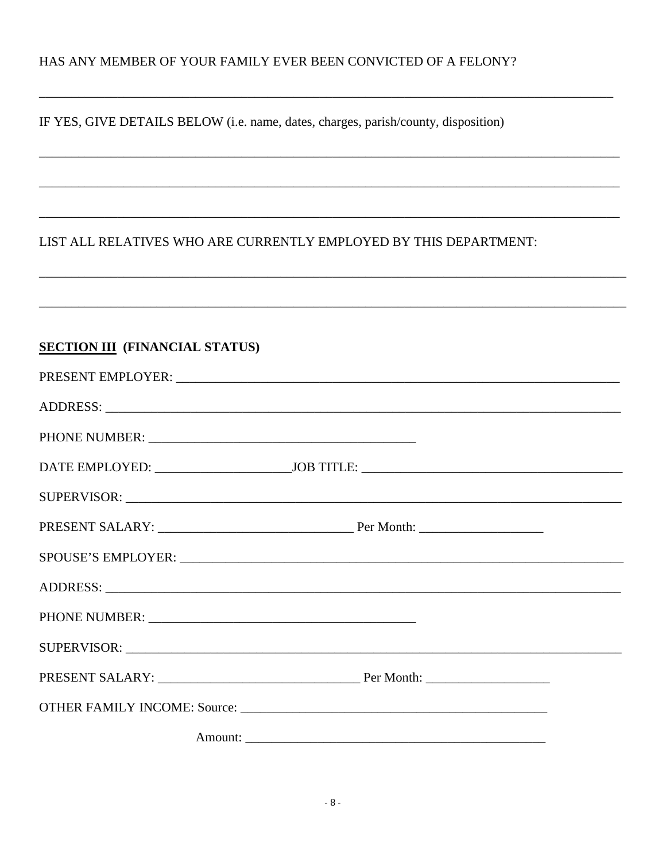### HAS ANY MEMBER OF YOUR FAMILY EVER BEEN CONVICTED OF A FELONY?

IF YES, GIVE DETAILS BELOW (i.e. name, dates, charges, parish/county, disposition)

### LIST ALL RELATIVES WHO ARE CURRENTLY EMPLOYED BY THIS DEPARTMENT:

# **SECTION III** (FINANCIAL STATUS)

| SUPERVISOR: New York Supervisors and the set of the set of the set of the set of the set of the set of the set of the set of the set of the set of the set of the set of the set of the set of the set of the set of the set o |  |
|--------------------------------------------------------------------------------------------------------------------------------------------------------------------------------------------------------------------------------|--|
|                                                                                                                                                                                                                                |  |
|                                                                                                                                                                                                                                |  |
|                                                                                                                                                                                                                                |  |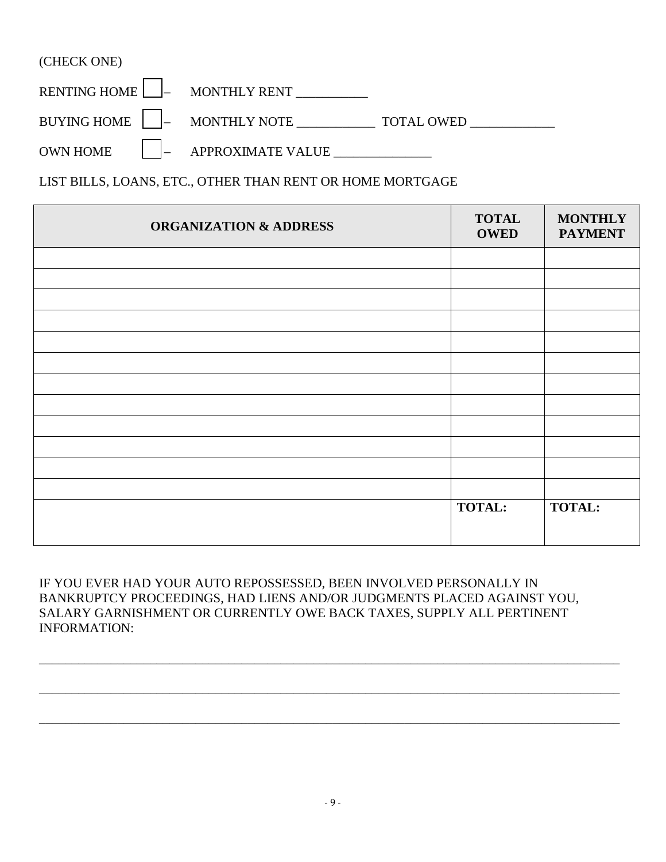| (CHECK ONE) |                                         |  |
|-------------|-----------------------------------------|--|
|             | RENTING HOME $\Box$ MONTHLY RENT $\Box$ |  |
|             |                                         |  |
|             | OWN HOME     APPROXIMATE VALUE          |  |

LIST BILLS, LOANS, ETC., OTHER THAN RENT OR HOME MORTGAGE

| <b>ORGANIZATION &amp; ADDRESS</b> | <b>TOTAL</b><br><b>OWED</b> | <b>MONTHLY</b><br><b>PAYMENT</b> |
|-----------------------------------|-----------------------------|----------------------------------|
|                                   |                             |                                  |
|                                   |                             |                                  |
|                                   |                             |                                  |
|                                   |                             |                                  |
|                                   |                             |                                  |
|                                   |                             |                                  |
|                                   |                             |                                  |
|                                   |                             |                                  |
|                                   |                             |                                  |
|                                   |                             |                                  |
|                                   |                             |                                  |
|                                   |                             |                                  |
|                                   | <b>TOTAL:</b>               | <b>TOTAL:</b>                    |
|                                   |                             |                                  |

IF YOU EVER HAD YOUR AUTO REPOSSESSED, BEEN INVOLVED PERSONALLY IN BANKRUPTCY PROCEEDINGS, HAD LIENS AND/OR JUDGMENTS PLACED AGAINST YOU, SALARY GARNISHMENT OR CURRENTLY OWE BACK TAXES, SUPPLY ALL PERTINENT INFORMATION:

\_\_\_\_\_\_\_\_\_\_\_\_\_\_\_\_\_\_\_\_\_\_\_\_\_\_\_\_\_\_\_\_\_\_\_\_\_\_\_\_\_\_\_\_\_\_\_\_\_\_\_\_\_\_\_\_\_\_\_\_\_\_\_\_\_\_\_\_\_\_\_\_\_\_\_\_\_\_\_\_\_\_\_\_\_\_\_\_\_

\_\_\_\_\_\_\_\_\_\_\_\_\_\_\_\_\_\_\_\_\_\_\_\_\_\_\_\_\_\_\_\_\_\_\_\_\_\_\_\_\_\_\_\_\_\_\_\_\_\_\_\_\_\_\_\_\_\_\_\_\_\_\_\_\_\_\_\_\_\_\_\_\_\_\_\_\_\_\_\_\_\_\_\_\_\_\_\_\_

\_\_\_\_\_\_\_\_\_\_\_\_\_\_\_\_\_\_\_\_\_\_\_\_\_\_\_\_\_\_\_\_\_\_\_\_\_\_\_\_\_\_\_\_\_\_\_\_\_\_\_\_\_\_\_\_\_\_\_\_\_\_\_\_\_\_\_\_\_\_\_\_\_\_\_\_\_\_\_\_\_\_\_\_\_\_\_\_\_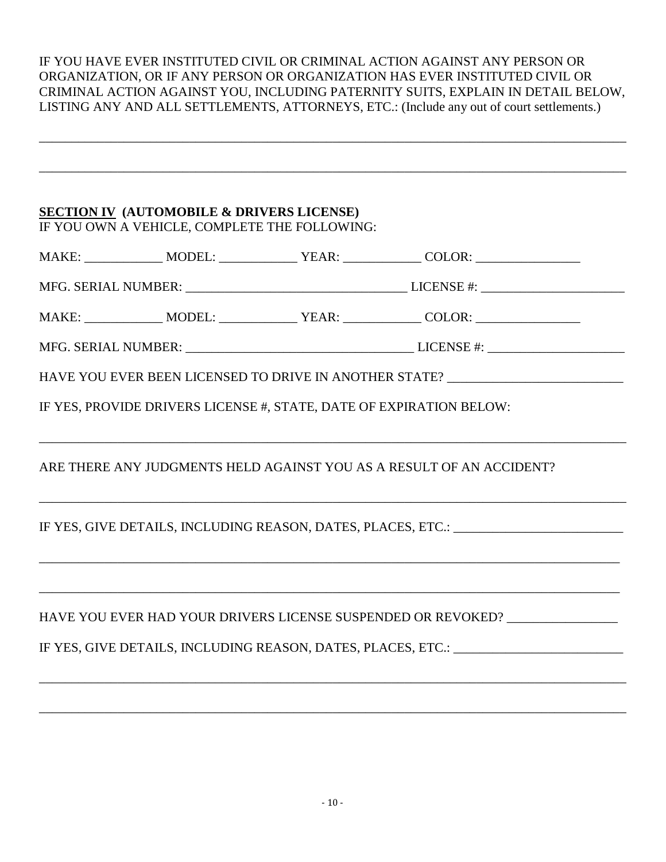#### IF YOU HAVE EVER INSTITUTED CIVIL OR CRIMINAL ACTION AGAINST ANY PERSON OR ORGANIZATION, OR IF ANY PERSON OR ORGANIZATION HAS EVER INSTITUTED CIVIL OR CRIMINAL ACTION AGAINST YOU, INCLUDING PATERNITY SUITS, EXPLAIN IN DETAIL BELOW, LISTING ANY AND ALL SETTLEMENTS, ATTORNEYS, ETC.: (Include any out of court settlements.)

\_\_\_\_\_\_\_\_\_\_\_\_\_\_\_\_\_\_\_\_\_\_\_\_\_\_\_\_\_\_\_\_\_\_\_\_\_\_\_\_\_\_\_\_\_\_\_\_\_\_\_\_\_\_\_\_\_\_\_\_\_\_\_\_\_\_\_\_\_\_\_\_\_\_\_\_\_\_\_\_\_\_\_\_\_\_\_\_\_\_

\_\_\_\_\_\_\_\_\_\_\_\_\_\_\_\_\_\_\_\_\_\_\_\_\_\_\_\_\_\_\_\_\_\_\_\_\_\_\_\_\_\_\_\_\_\_\_\_\_\_\_\_\_\_\_\_\_\_\_\_\_\_\_\_\_\_\_\_\_\_\_\_\_\_\_\_\_\_\_\_\_\_\_\_\_\_\_\_\_\_

# **SECTION IV (AUTOMOBILE & DRIVERS LICENSE)**

IF YOU OWN A VEHICLE, COMPLETE THE FOLLOWING:

| $\sim$<br>M | N/L | ____ | <u>.</u> |
|-------------|-----|------|----------|
|             |     |      |          |

| <b>SERIAL NUMBER:</b><br>MFG. | I ICENICE #<br>71 N.D.L |  |
|-------------------------------|-------------------------|--|
|                               |                         |  |

| M<br>. .<br>the contract of the contract of the contract of the contract of the contract of the contract of the contract of | N/I<br>$\sim$ $\sim$ $\sim$ $\sim$ $\sim$ $\sim$ $\sim$ |  |  |
|-----------------------------------------------------------------------------------------------------------------------------|---------------------------------------------------------|--|--|
|-----------------------------------------------------------------------------------------------------------------------------|---------------------------------------------------------|--|--|

\_\_\_\_\_\_\_\_\_\_\_\_\_\_\_\_\_\_\_\_\_\_\_\_\_\_\_\_\_\_\_\_\_\_\_\_\_\_\_\_\_\_\_\_\_\_\_\_\_\_\_\_\_\_\_\_\_\_\_\_\_\_\_\_\_\_\_\_\_\_\_\_\_\_\_\_\_\_\_\_\_\_\_\_\_\_\_\_\_\_

\_\_\_\_\_\_\_\_\_\_\_\_\_\_\_\_\_\_\_\_\_\_\_\_\_\_\_\_\_\_\_\_\_\_\_\_\_\_\_\_\_\_\_\_\_\_\_\_\_\_\_\_\_\_\_\_\_\_\_\_\_\_\_\_\_\_\_\_\_\_\_\_\_\_\_\_\_\_\_\_\_\_\_\_\_\_\_\_\_\_

\_\_\_\_\_\_\_\_\_\_\_\_\_\_\_\_\_\_\_\_\_\_\_\_\_\_\_\_\_\_\_\_\_\_\_\_\_\_\_\_\_\_\_\_\_\_\_\_\_\_\_\_\_\_\_\_\_\_\_\_\_\_\_\_\_\_\_\_\_\_\_\_\_\_\_\_\_\_\_\_\_\_\_\_\_\_\_\_\_

\_\_\_\_\_\_\_\_\_\_\_\_\_\_\_\_\_\_\_\_\_\_\_\_\_\_\_\_\_\_\_\_\_\_\_\_\_\_\_\_\_\_\_\_\_\_\_\_\_\_\_\_\_\_\_\_\_\_\_\_\_\_\_\_\_\_\_\_\_\_\_\_\_\_\_\_\_\_\_\_\_\_\_\_\_\_\_\_\_

\_\_\_\_\_\_\_\_\_\_\_\_\_\_\_\_\_\_\_\_\_\_\_\_\_\_\_\_\_\_\_\_\_\_\_\_\_\_\_\_\_\_\_\_\_\_\_\_\_\_\_\_\_\_\_\_\_\_\_\_\_\_\_\_\_\_\_\_\_\_\_\_\_\_\_\_\_\_\_\_\_\_\_\_\_\_\_\_\_\_

\_\_\_\_\_\_\_\_\_\_\_\_\_\_\_\_\_\_\_\_\_\_\_\_\_\_\_\_\_\_\_\_\_\_\_\_\_\_\_\_\_\_\_\_\_\_\_\_\_\_\_\_\_\_\_\_\_\_\_\_\_\_\_\_\_\_\_\_\_\_\_\_\_\_\_\_\_\_\_\_\_\_\_\_\_\_\_\_\_\_

| i. SERIAL NUMBER:<br>MFG. |  | ' ICENSE<br>EN DIE |  |
|---------------------------|--|--------------------|--|
|---------------------------|--|--------------------|--|

HAVE YOU EVER BEEN LICENSED TO DRIVE IN ANOTHER STATE?

IF YES, PROVIDE DRIVERS LICENSE #, STATE, DATE OF EXPIRATION BELOW:

ARE THERE ANY JUDGMENTS HELD AGAINST YOU AS A RESULT OF AN ACCIDENT?

IF YES, GIVE DETAILS, INCLUDING REASON, DATES, PLACES, ETC.:

HAVE YOU EVER HAD YOUR DRIVERS LICENSE SUSPENDED OR REVOKED? \_\_\_\_\_\_\_\_\_\_\_\_\_\_\_\_\_\_\_

IF YES, GIVE DETAILS, INCLUDING REASON, DATES, PLACES, ETC.: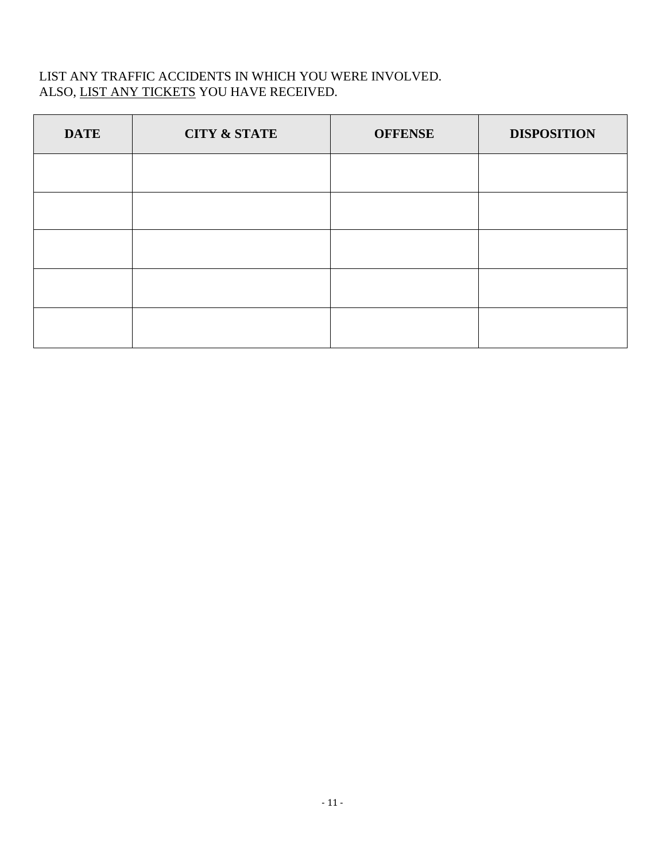### LIST ANY TRAFFIC ACCIDENTS IN WHICH YOU WERE INVOLVED. ALSO, LIST ANY TICKETS YOU HAVE RECEIVED.

| <b>DATE</b> | <b>CITY &amp; STATE</b> | <b>OFFENSE</b> | <b>DISPOSITION</b> |
|-------------|-------------------------|----------------|--------------------|
|             |                         |                |                    |
|             |                         |                |                    |
|             |                         |                |                    |
|             |                         |                |                    |
|             |                         |                |                    |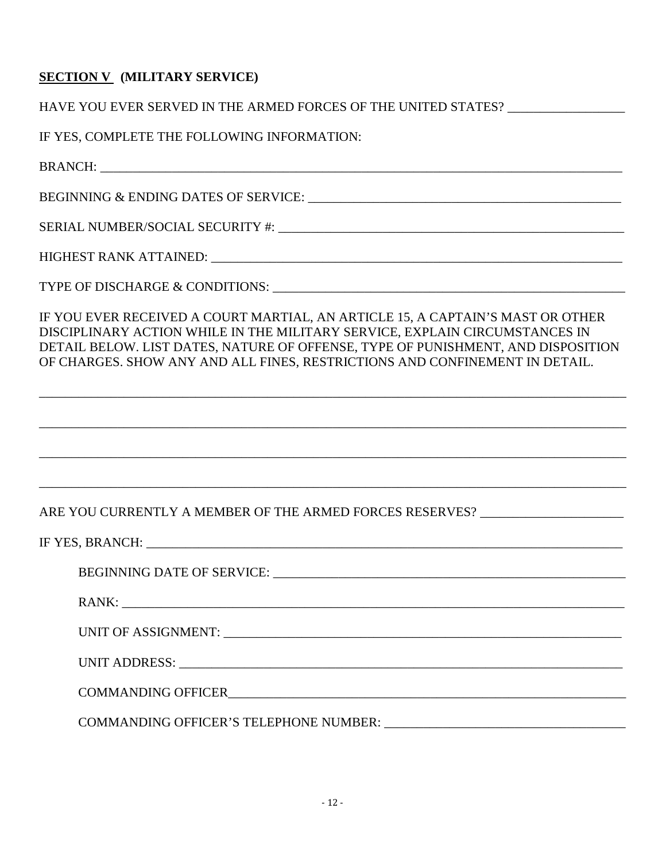### **SECTION V (MILITARY SERVICE)**

HAVE YOU EVER SERVED IN THE ARMED FORCES OF THE UNITED STATES?

IF YES, COMPLETE THE FOLLOWING INFORMATION:

BRANCH: \_\_\_\_\_\_\_\_\_\_\_\_\_\_\_\_\_\_\_\_\_\_\_\_\_\_\_\_\_\_\_\_\_\_\_\_\_\_\_\_\_\_\_\_\_\_\_\_\_\_\_\_\_\_\_\_\_\_\_\_\_\_\_\_\_\_\_\_\_\_\_\_\_\_\_\_\_\_\_\_

BEGINNING & ENDING DATES OF SERVICE: \_\_\_\_\_\_\_\_\_\_\_\_\_\_\_\_\_\_\_\_\_\_\_\_\_\_\_\_\_\_\_\_\_\_\_\_\_\_\_\_\_\_\_\_\_\_\_\_

SERIAL NUMBER/SOCIAL SECURITY #: \_\_\_\_\_\_\_\_\_\_\_\_\_\_\_\_\_\_\_\_\_\_\_\_\_\_\_\_\_\_\_\_\_\_\_\_\_\_\_\_\_\_\_\_\_\_\_\_\_\_\_\_\_

HIGHEST RANK ATTAINED: \_\_\_\_\_\_\_\_\_\_\_\_\_\_\_\_\_\_\_\_\_\_\_\_\_\_\_\_\_\_\_\_\_\_\_\_\_\_\_\_\_\_\_\_\_\_\_\_\_\_\_\_\_\_\_\_\_\_\_\_\_\_\_

TYPE OF DISCHARGE & CONDITIONS:

IF YOU EVER RECEIVED A COURT MARTIAL, AN ARTICLE 15, A CAPTAIN'S MAST OR OTHER DISCIPLINARY ACTION WHILE IN THE MILITARY SERVICE, EXPLAIN CIRCUMSTANCES IN DETAIL BELOW. LIST DATES, NATURE OF OFFENSE, TYPE OF PUNISHMENT, AND DISPOSITION OF CHARGES. SHOW ANY AND ALL FINES, RESTRICTIONS AND CONFINEMENT IN DETAIL.

\_\_\_\_\_\_\_\_\_\_\_\_\_\_\_\_\_\_\_\_\_\_\_\_\_\_\_\_\_\_\_\_\_\_\_\_\_\_\_\_\_\_\_\_\_\_\_\_\_\_\_\_\_\_\_\_\_\_\_\_\_\_\_\_\_\_\_\_\_\_\_\_\_\_\_\_\_\_\_\_\_\_\_\_\_\_\_\_\_\_

\_\_\_\_\_\_\_\_\_\_\_\_\_\_\_\_\_\_\_\_\_\_\_\_\_\_\_\_\_\_\_\_\_\_\_\_\_\_\_\_\_\_\_\_\_\_\_\_\_\_\_\_\_\_\_\_\_\_\_\_\_\_\_\_\_\_\_\_\_\_\_\_\_\_\_\_\_\_\_\_\_\_\_\_\_\_\_\_\_\_

\_\_\_\_\_\_\_\_\_\_\_\_\_\_\_\_\_\_\_\_\_\_\_\_\_\_\_\_\_\_\_\_\_\_\_\_\_\_\_\_\_\_\_\_\_\_\_\_\_\_\_\_\_\_\_\_\_\_\_\_\_\_\_\_\_\_\_\_\_\_\_\_\_\_\_\_\_\_\_\_\_\_\_\_\_\_\_\_\_\_

\_\_\_\_\_\_\_\_\_\_\_\_\_\_\_\_\_\_\_\_\_\_\_\_\_\_\_\_\_\_\_\_\_\_\_\_\_\_\_\_\_\_\_\_\_\_\_\_\_\_\_\_\_\_\_\_\_\_\_\_\_\_\_\_\_\_\_\_\_\_\_\_\_\_\_\_\_\_\_\_\_\_\_\_\_\_\_\_\_\_

ARE YOU CURRENTLY A MEMBER OF THE ARMED FORCES RESERVES?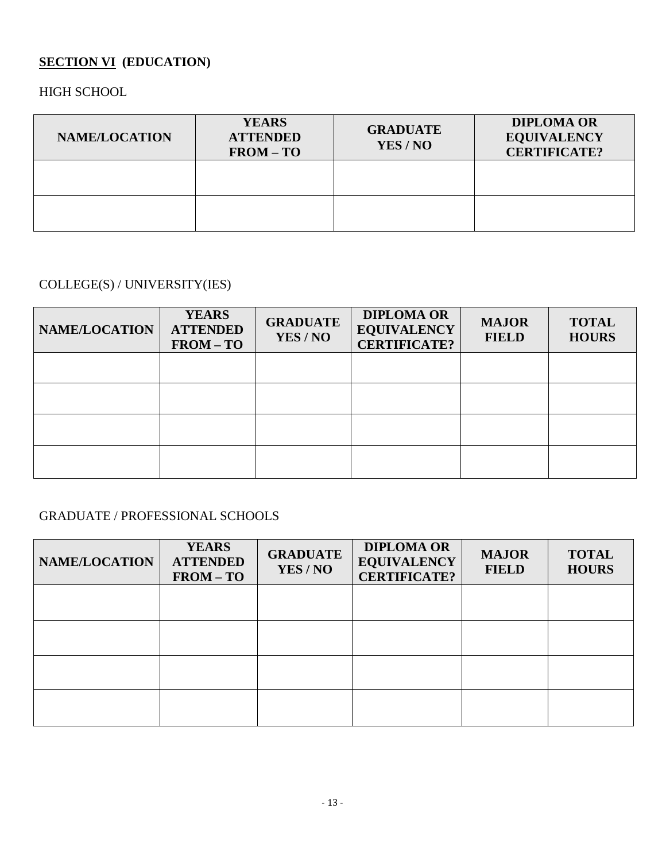# **SECTION VI (EDUCATION)**

HIGH SCHOOL

| <b>NAME/LOCATION</b> | <b>YEARS</b><br><b>ATTENDED</b><br>$FROM – TO$ | <b>GRADUATE</b><br>YES/NO | <b>DIPLOMA OR</b><br><b>EQUIVALENCY</b><br><b>CERTIFICATE?</b> |
|----------------------|------------------------------------------------|---------------------------|----------------------------------------------------------------|
|                      |                                                |                           |                                                                |
|                      |                                                |                           |                                                                |

# COLLEGE(S) / UNIVERSITY(IES)

| NAME/LOCATION | <b>YEARS</b><br><b>ATTENDED</b><br>$FROM – TO$ | <b>GRADUATE</b><br>YES / NO | <b>DIPLOMA OR</b><br><b>EQUIVALENCY</b><br><b>CERTIFICATE?</b> | <b>MAJOR</b><br><b>FIELD</b> | <b>TOTAL</b><br><b>HOURS</b> |
|---------------|------------------------------------------------|-----------------------------|----------------------------------------------------------------|------------------------------|------------------------------|
|               |                                                |                             |                                                                |                              |                              |
|               |                                                |                             |                                                                |                              |                              |
|               |                                                |                             |                                                                |                              |                              |
|               |                                                |                             |                                                                |                              |                              |

# GRADUATE / PROFESSIONAL SCHOOLS

| NAME/LOCATION | <b>YEARS</b><br><b>ATTENDED</b><br>$FROM – TO$ | <b>GRADUATE</b><br>YES / NO | <b>DIPLOMA OR</b><br><b>EQUIVALENCY</b><br><b>CERTIFICATE?</b> | <b>MAJOR</b><br><b>FIELD</b> | <b>TOTAL</b><br><b>HOURS</b> |
|---------------|------------------------------------------------|-----------------------------|----------------------------------------------------------------|------------------------------|------------------------------|
|               |                                                |                             |                                                                |                              |                              |
|               |                                                |                             |                                                                |                              |                              |
|               |                                                |                             |                                                                |                              |                              |
|               |                                                |                             |                                                                |                              |                              |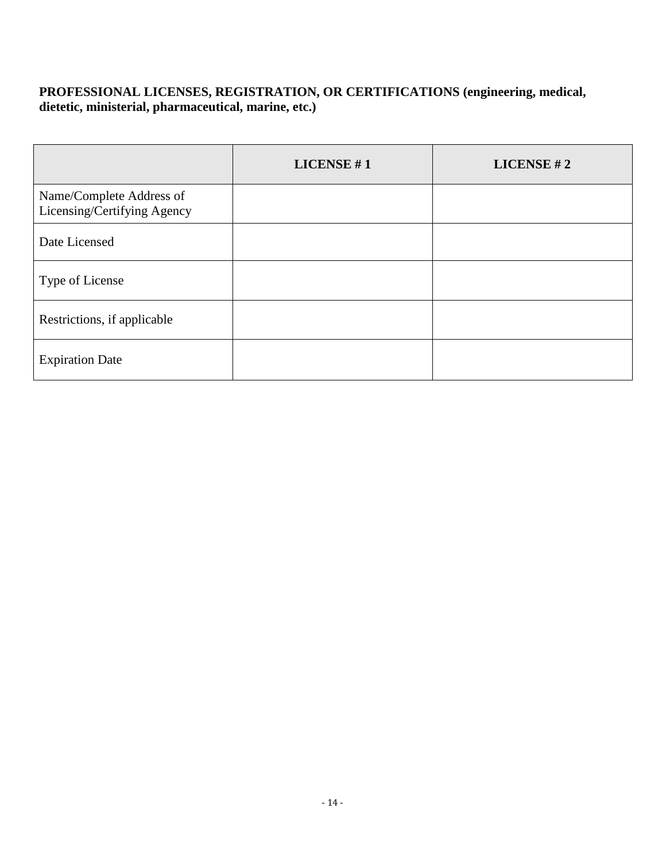### **PROFESSIONAL LICENSES, REGISTRATION, OR CERTIFICATIONS (engineering, medical, dietetic, ministerial, pharmaceutical, marine, etc.)**

|                                                         | LICENSE $#1$ | LICENSE #2 |
|---------------------------------------------------------|--------------|------------|
| Name/Complete Address of<br>Licensing/Certifying Agency |              |            |
| Date Licensed                                           |              |            |
| Type of License                                         |              |            |
| Restrictions, if applicable                             |              |            |
| <b>Expiration Date</b>                                  |              |            |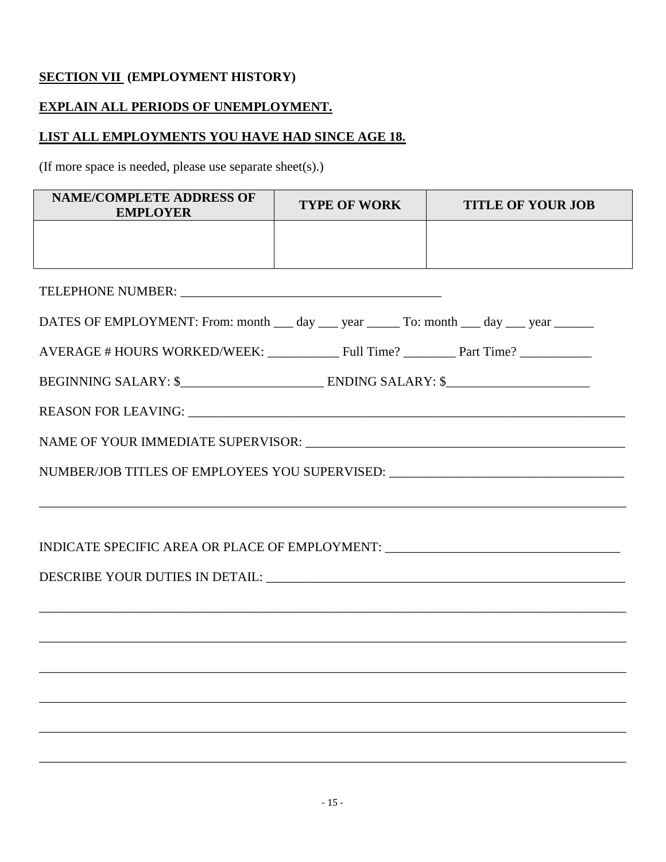# **SECTION VII (EMPLOYMENT HISTORY)**

### **EXPLAIN ALL PERIODS OF UNEMPLOYMENT.**

### **LIST ALL EMPLOYMENTS YOU HAVE HAD SINCE AGE 18.**

(If more space is needed, please use separate sheet(s).)

| <b>NAME/COMPLETE ADDRESS OF</b><br><b>EMPLOYER</b>                                       | <b>TYPE OF WORK</b> | <b>TITLE OF YOUR JOB</b> |  |  |  |  |
|------------------------------------------------------------------------------------------|---------------------|--------------------------|--|--|--|--|
|                                                                                          |                     |                          |  |  |  |  |
|                                                                                          |                     |                          |  |  |  |  |
|                                                                                          |                     |                          |  |  |  |  |
| DATES OF EMPLOYMENT: From: month ___ day ___ year _____ To: month ___ day ___ year _____ |                     |                          |  |  |  |  |
| AVERAGE # HOURS WORKED/WEEK: Full Time? _________ Part Time? __________                  |                     |                          |  |  |  |  |
|                                                                                          |                     |                          |  |  |  |  |
|                                                                                          |                     |                          |  |  |  |  |
|                                                                                          |                     |                          |  |  |  |  |
| NUMBER/JOB TITLES OF EMPLOYEES YOU SUPERVISED: _________________________________         |                     |                          |  |  |  |  |
| ,我们也不能在这里的时候,我们也不能在这里的时候,我们也不能会在这里的时候,我们也不能会在这里的时候,我们也不能会在这里的时候,我们也不能会在这里的时候,我们也不        |                     |                          |  |  |  |  |
| INDICATE SPECIFIC AREA OR PLACE OF EMPLOYMENT: _________________________________         |                     |                          |  |  |  |  |
|                                                                                          |                     |                          |  |  |  |  |
|                                                                                          |                     |                          |  |  |  |  |
|                                                                                          |                     |                          |  |  |  |  |
|                                                                                          |                     |                          |  |  |  |  |
|                                                                                          |                     |                          |  |  |  |  |
|                                                                                          |                     |                          |  |  |  |  |
|                                                                                          |                     |                          |  |  |  |  |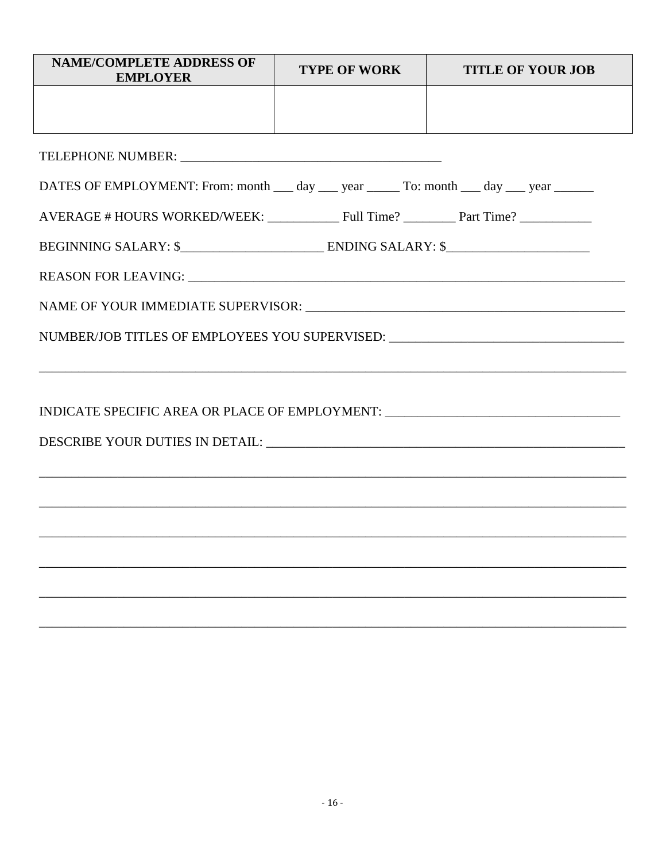| <b>NAME/COMPLETE ADDRESS OF</b><br><b>EMPLOYER</b>                                   | <b>TYPE OF WORK</b> | <b>TITLE OF YOUR JOB</b> |  |  |  |  |
|--------------------------------------------------------------------------------------|---------------------|--------------------------|--|--|--|--|
|                                                                                      |                     |                          |  |  |  |  |
|                                                                                      |                     |                          |  |  |  |  |
|                                                                                      |                     |                          |  |  |  |  |
| DATES OF EMPLOYMENT: From: month __ day __ year _____ To: month __ day __ year _____ |                     |                          |  |  |  |  |
|                                                                                      |                     |                          |  |  |  |  |
|                                                                                      |                     |                          |  |  |  |  |
|                                                                                      |                     |                          |  |  |  |  |
|                                                                                      |                     |                          |  |  |  |  |
| NUMBER/JOB TITLES OF EMPLOYEES YOU SUPERVISED: $\_\_$                                |                     |                          |  |  |  |  |
|                                                                                      |                     |                          |  |  |  |  |
|                                                                                      |                     |                          |  |  |  |  |
| INDICATE SPECIFIC AREA OR PLACE OF EMPLOYMENT: __________________________________    |                     |                          |  |  |  |  |
|                                                                                      |                     |                          |  |  |  |  |
|                                                                                      |                     |                          |  |  |  |  |
|                                                                                      |                     |                          |  |  |  |  |
| ,我们也不会有什么。""我们的人,我们也不会有什么?""我们的人,我们也不会有什么?""我们的人,我们也不会有什么?""我们的人,我们也不会有什么?""我们的人     |                     |                          |  |  |  |  |
|                                                                                      |                     |                          |  |  |  |  |
|                                                                                      |                     |                          |  |  |  |  |
|                                                                                      |                     |                          |  |  |  |  |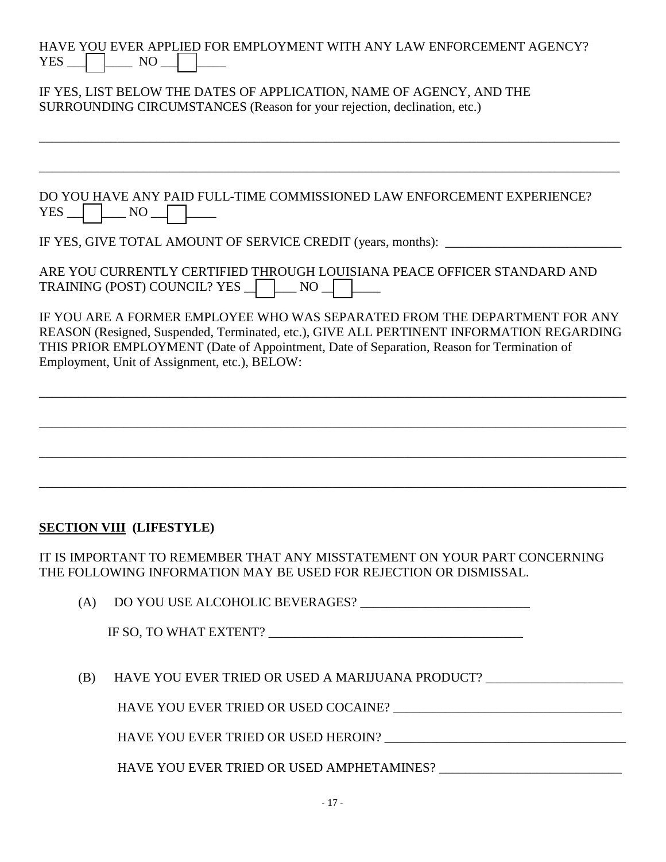| YES | HAVE YOU EVER APPLIED FOR EMPLOYMENT WITH ANY LAW ENFORCEMENT AGENCY?<br>$NO_{-}$                                                                                                                                                                                                                                    |
|-----|----------------------------------------------------------------------------------------------------------------------------------------------------------------------------------------------------------------------------------------------------------------------------------------------------------------------|
|     | IF YES, LIST BELOW THE DATES OF APPLICATION, NAME OF AGENCY, AND THE<br>SURROUNDING CIRCUMSTANCES (Reason for your rejection, declination, etc.)                                                                                                                                                                     |
|     |                                                                                                                                                                                                                                                                                                                      |
| YES | DO YOU HAVE ANY PAID FULL-TIME COMMISSIONED LAW ENFORCEMENT EXPERIENCE?<br>$\vert$ NO                                                                                                                                                                                                                                |
|     | IF YES, GIVE TOTAL AMOUNT OF SERVICE CREDIT (years, months):                                                                                                                                                                                                                                                         |
|     | ARE YOU CURRENTLY CERTIFIED THROUGH LOUISIANA PEACE OFFICER STANDARD AND<br>TRAINING (POST) COUNCIL? YES<br>$\overline{\phantom{a}}$ NO                                                                                                                                                                              |
|     | IF YOU ARE A FORMER EMPLOYEE WHO WAS SEPARATED FROM THE DEPARTMENT FOR ANY<br>REASON (Resigned, Suspended, Terminated, etc.), GIVE ALL PERTINENT INFORMATION REGARDING<br>THIS PRIOR EMPLOYMENT (Date of Appointment, Date of Separation, Reason for Termination of<br>Employment, Unit of Assignment, etc.), BELOW: |
|     |                                                                                                                                                                                                                                                                                                                      |
|     |                                                                                                                                                                                                                                                                                                                      |
|     |                                                                                                                                                                                                                                                                                                                      |
|     |                                                                                                                                                                                                                                                                                                                      |
|     |                                                                                                                                                                                                                                                                                                                      |
|     | <b>SECTION VIII</b> (LIFESTYLE)                                                                                                                                                                                                                                                                                      |
|     | IT IS IMPORTANT TO REMEMBER THAT ANY MISSTATEMENT ON YOUR PART CONCERNING<br>THE FOLLOWING INFORMATION MAY BE USED FOR REJECTION OR DISMISSAL.                                                                                                                                                                       |
| (A) |                                                                                                                                                                                                                                                                                                                      |
|     |                                                                                                                                                                                                                                                                                                                      |
| (B) | HAVE YOU EVER TRIED OR USED A MARIJUANA PRODUCT?                                                                                                                                                                                                                                                                     |
|     |                                                                                                                                                                                                                                                                                                                      |
|     |                                                                                                                                                                                                                                                                                                                      |

HAVE YOU EVER TRIED OR USED AMPHETAMINES? \_\_\_\_\_\_\_\_\_\_\_\_\_\_\_\_\_\_\_\_\_\_\_\_\_\_\_\_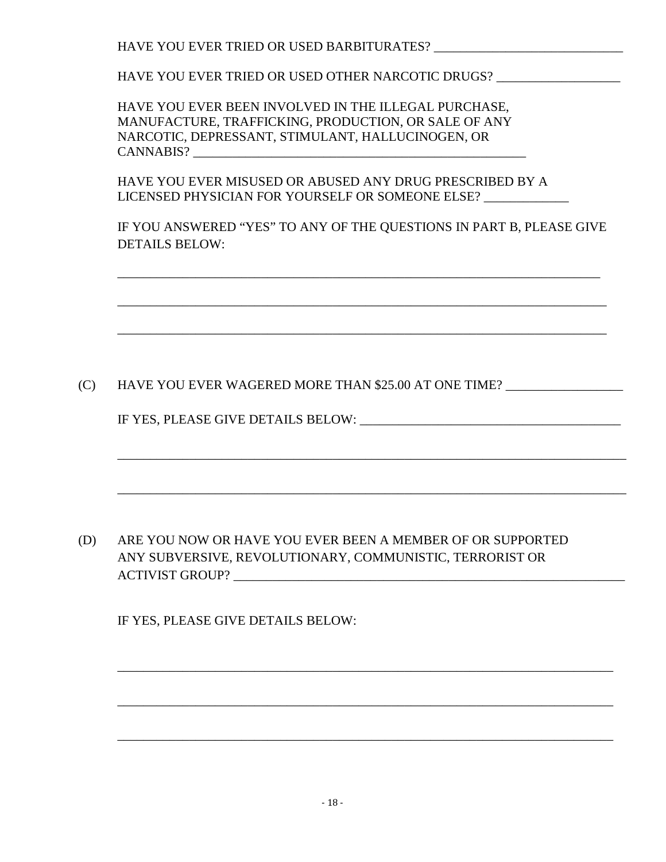HAVE YOU EVER TRIED OR USED BARBITURATES?

HAVE YOU EVER TRIED OR USED OTHER NARCOTIC DRUGS? \_\_\_\_\_\_\_\_\_\_\_\_\_\_\_\_\_\_\_\_\_\_\_\_\_\_\_\_\_\_

HAVE YOU EVER BEEN INVOLVED IN THE ILLEGAL PURCHASE, MANUFACTURE, TRAFFICKING, PRODUCTION, OR SALE OF ANY NARCOTIC, DEPRESSANT, STIMULANT, HALLUCINOGEN, OR CANNABIS? \_\_\_\_\_\_\_\_\_\_\_\_\_\_\_\_\_\_\_\_\_\_\_\_\_\_\_\_\_\_\_\_\_\_\_\_\_\_\_\_\_\_\_\_\_\_\_\_\_\_\_

\_\_\_\_\_\_\_\_\_\_\_\_\_\_\_\_\_\_\_\_\_\_\_\_\_\_\_\_\_\_\_\_\_\_\_\_\_\_\_\_\_\_\_\_\_\_\_\_\_\_\_\_\_\_\_\_\_\_\_\_\_\_\_\_\_\_\_\_\_\_\_\_\_\_

HAVE YOU EVER MISUSED OR ABUSED ANY DRUG PRESCRIBED BY A LICENSED PHYSICIAN FOR YOURSELF OR SOMEONE ELSE? \_\_\_\_\_\_\_\_\_\_\_\_\_

IF YOU ANSWERED "YES" TO ANY OF THE QUESTIONS IN PART B, PLEASE GIVE DETAILS BELOW:

\_\_\_\_\_\_\_\_\_\_\_\_\_\_\_\_\_\_\_\_\_\_\_\_\_\_\_\_\_\_\_\_\_\_\_\_\_\_\_\_\_\_\_\_\_\_\_\_\_\_\_\_\_\_\_\_\_\_\_\_\_\_\_\_\_\_\_\_\_\_\_\_\_\_\_

\_\_\_\_\_\_\_\_\_\_\_\_\_\_\_\_\_\_\_\_\_\_\_\_\_\_\_\_\_\_\_\_\_\_\_\_\_\_\_\_\_\_\_\_\_\_\_\_\_\_\_\_\_\_\_\_\_\_\_\_\_\_\_\_\_\_\_\_\_\_\_\_\_\_\_

\_\_\_\_\_\_\_\_\_\_\_\_\_\_\_\_\_\_\_\_\_\_\_\_\_\_\_\_\_\_\_\_\_\_\_\_\_\_\_\_\_\_\_\_\_\_\_\_\_\_\_\_\_\_\_\_\_\_\_\_\_\_\_\_\_\_\_\_\_\_\_\_\_\_\_\_\_\_

\_\_\_\_\_\_\_\_\_\_\_\_\_\_\_\_\_\_\_\_\_\_\_\_\_\_\_\_\_\_\_\_\_\_\_\_\_\_\_\_\_\_\_\_\_\_\_\_\_\_\_\_\_\_\_\_\_\_\_\_\_\_\_\_\_\_\_\_\_\_\_\_\_\_\_\_\_\_

\_\_\_\_\_\_\_\_\_\_\_\_\_\_\_\_\_\_\_\_\_\_\_\_\_\_\_\_\_\_\_\_\_\_\_\_\_\_\_\_\_\_\_\_\_\_\_\_\_\_\_\_\_\_\_\_\_\_\_\_\_\_\_\_\_\_\_\_\_\_\_\_\_\_\_\_

\_\_\_\_\_\_\_\_\_\_\_\_\_\_\_\_\_\_\_\_\_\_\_\_\_\_\_\_\_\_\_\_\_\_\_\_\_\_\_\_\_\_\_\_\_\_\_\_\_\_\_\_\_\_\_\_\_\_\_\_\_\_\_\_\_\_\_\_\_\_\_\_\_\_\_\_

\_\_\_\_\_\_\_\_\_\_\_\_\_\_\_\_\_\_\_\_\_\_\_\_\_\_\_\_\_\_\_\_\_\_\_\_\_\_\_\_\_\_\_\_\_\_\_\_\_\_\_\_\_\_\_\_\_\_\_\_\_\_\_\_\_\_\_\_\_\_\_\_\_\_\_\_

(C) HAVE YOU EVER WAGERED MORE THAN \$25.00 AT ONE TIME?

IF YES, PLEASE GIVE DETAILS BELOW:

(D) ARE YOU NOW OR HAVE YOU EVER BEEN A MEMBER OF OR SUPPORTED ANY SUBVERSIVE, REVOLUTIONARY, COMMUNISTIC, TERRORIST OR ACTIVIST GROUP?

IF YES, PLEASE GIVE DETAILS BELOW: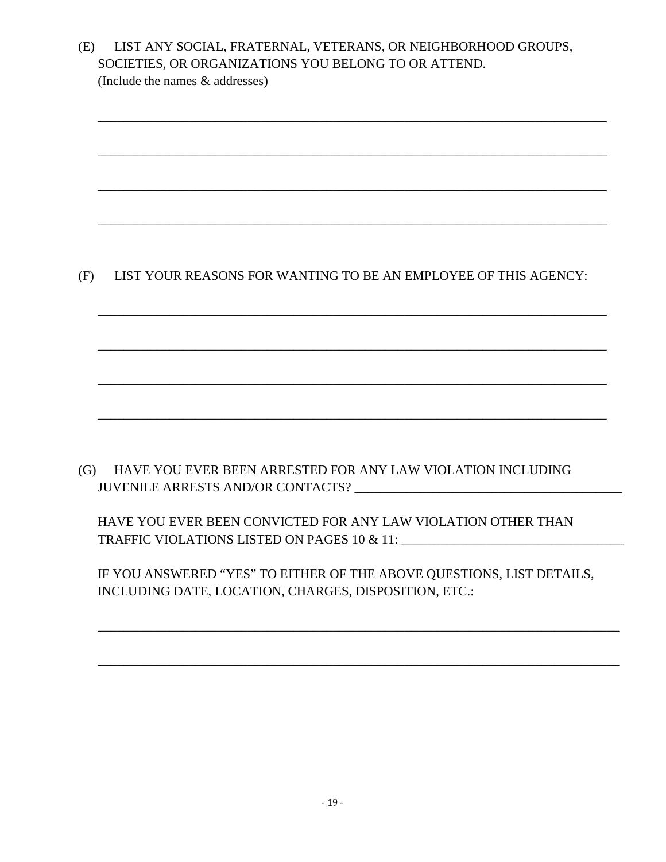|     | SOCIETIES, OR ORGANIZATIONS YOU BELONG TO OR ATTEND.<br>(Include the names & addresses)          |
|-----|--------------------------------------------------------------------------------------------------|
|     |                                                                                                  |
|     |                                                                                                  |
|     |                                                                                                  |
|     |                                                                                                  |
|     |                                                                                                  |
| (F) | LIST YOUR REASONS FOR WANTING TO BE AN EMPLOYEE OF THIS AGENCY:                                  |
|     |                                                                                                  |
|     |                                                                                                  |
|     |                                                                                                  |
|     |                                                                                                  |
|     |                                                                                                  |
| (G) | HAVE YOU EVER BEEN ARRESTED FOR ANY LAW VIOLATION INCLUDING<br>JUVENILE ARRESTS AND/OR CONTACTS? |
|     | HAVE YOU EVER BEEN CONVICTED FOR ANY LAW VIOLATION OTHER THAN                                    |
|     | IF YOU ANSWERED "YES" TO EITHER OF THE ABOVE QUESTIONS, LIST DETAILS,                            |
|     | INCLUDING DATE, LOCATION, CHARGES, DISPOSITION, ETC.:                                            |
|     |                                                                                                  |
|     |                                                                                                  |